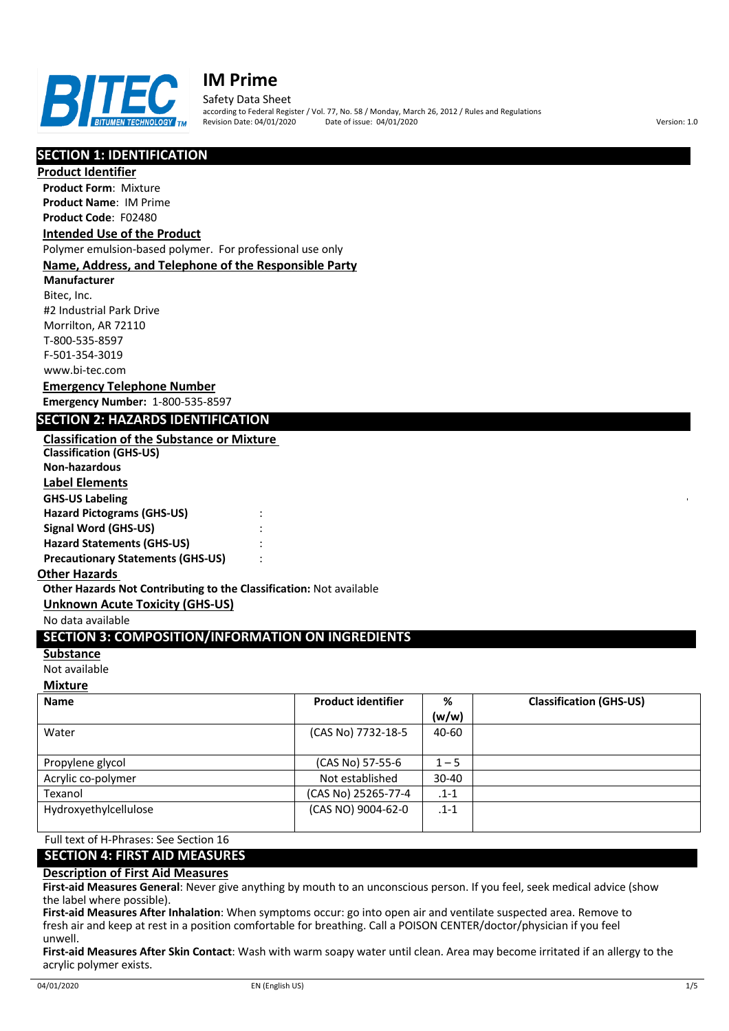

Safety Data Sheet

according to Federal Register / Vol. 77, No. 58 / Monday, March 26, 2012 / Rules and Regulations Revision Date: 04/01/2020 Date of issue: 04/01/2020 Version: 1.0

# **SECTION 1: IDENTIFICATION**

**Product Identifier**

**Product Form**: Mixture **Product Name**: IM Prime **Product Code**: F02480

# **Intended Use of the Product**

Polymer emulsion-based polymer. For professional use only

## **Name, Address, and Telephone of the Responsible Party**

**Manufacturer** Bitec, Inc. #2 Industrial Park Drive Morrilton, AR 72110 T-800-535-8597 F-501-354-3019

www.bi-tec.com **Emergency Telephone Number Emergency Number:** 1-800-535-8597

# **SECTION 2: HAZARDS IDENTIFICATION**

**Classification of the Substance or Mixture Classification (GHS-US) Non-hazardous Label Elements GHS-US Labeling Hazard Pictograms (GHS-US)** : **Signal Word (GHS-US)** : **Hazard Statements (GHS-US)** : **Precautionary Statements (GHS-US)** :

## **Other Hazards**

**Other Hazards Not Contributing to the Classification:** Not available

**Unknown Acute Toxicity (GHS-US)**

#### No data available

# **SECTION 3: COMPOSITION/INFORMATION ON INGREDIENTS**

#### **Substance**

Not available

# **Mixture**

| <b>Name</b>           | <b>Product identifier</b> | %         | <b>Classification (GHS-US)</b> |
|-----------------------|---------------------------|-----------|--------------------------------|
|                       |                           | (w/w)     |                                |
| Water                 | (CAS No) 7732-18-5        | 40-60     |                                |
|                       |                           |           |                                |
| Propylene glycol      | (CAS No) 57-55-6          | $1 - 5$   |                                |
| Acrylic co-polymer    | Not established           | $30 - 40$ |                                |
| Texanol               | (CAS No) 25265-77-4       | $.1 - 1$  |                                |
| Hydroxyethylcellulose | (CAS NO) 9004-62-0        | $.1 - 1$  |                                |
|                       |                           |           |                                |

# Full text of H-Phrases: See Section 16

#### **SECTION 4: FIRST AID MEASURES**

## **Description of First Aid Measures**

**First-aid Measures General**: Never give anything by mouth to an unconscious person. If you feel, seek medical advice (show the label where possible).

**First-aid Measures After Inhalation**: When symptoms occur: go into open air and ventilate suspected area. Remove to fresh air and keep at rest in a position comfortable for breathing. Call a POISON CENTER/doctor/physician if you feel unwell.

**First-aid Measures After Skin Contact**: Wash with warm soapy water until clean. Area may become irritated if an allergy to the acrylic polymer exists.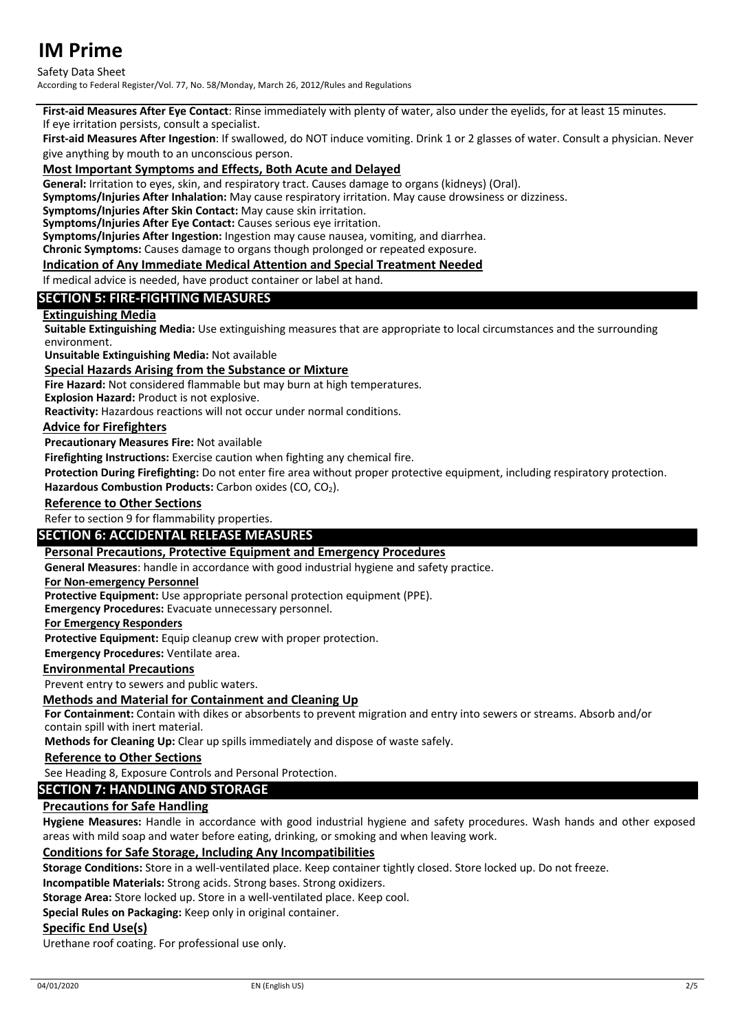## Safety Data Sheet

According to Federal Register/Vol. 77, No. 58/Monday, March 26, 2012/Rules and Regulations

**First-aid Measures After Eye Contact**: Rinse immediately with plenty of water, also under the eyelids, for at least 15 minutes.

If eye irritation persists, consult a specialist.

**First-aid Measures After Ingestion**: If swallowed, do NOT induce vomiting. Drink 1 or 2 glasses of water. Consult a physician. Never give anything by mouth to an unconscious person.

## **Most Important Symptoms and Effects, Both Acute and Delayed**

**General:** Irritation to eyes, skin, and respiratory tract. Causes damage to organs (kidneys) (Oral).

**Symptoms/Injuries After Inhalation:** May cause respiratory irritation. May cause drowsiness or dizziness.

**Symptoms/Injuries After Skin Contact:** May cause skin irritation.

**Symptoms/Injuries After Eye Contact:** Causes serious eye irritation.

**Symptoms/Injuries After Ingestion:** Ingestion may cause nausea, vomiting, and diarrhea.

**Chronic Symptoms:** Causes damage to organs though prolonged or repeated exposure.

## **Indication of Any Immediate Medical Attention and Special Treatment Needed**

If medical advice is needed, have product container or label at hand.

# **SECTION 5: FIRE-FIGHTING MEASURES**

## **Extinguishing Media**

**Suitable Extinguishing Media:** Use extinguishing measures that are appropriate to local circumstances and the surrounding environment.

**Unsuitable Extinguishing Media:** Not available

## **Special Hazards Arising from the Substance or Mixture**

**Fire Hazard:** Not considered flammable but may burn at high temperatures.

**Explosion Hazard:** Product is not explosive.

**Reactivity:** Hazardous reactions will not occur under normal conditions.

## **Advice for Firefighters**

**Precautionary Measures Fire:** Not available

**Firefighting Instructions:** Exercise caution when fighting any chemical fire.

**Protection During Firefighting:** Do not enter fire area without proper protective equipment, including respiratory protection.

Hazardous Combustion Products: Carbon oxides (CO, CO<sub>2</sub>).

## **Reference to Other Sections**

Refer to section 9 for flammability properties.

## **SECTION 6: ACCIDENTAL RELEASE MEASURES**

**Personal Precautions, Protective Equipment and Emergency Procedures**

**General Measures**: handle in accordance with good industrial hygiene and safety practice.

#### **For Non-emergency Personnel**

**Protective Equipment:** Use appropriate personal protection equipment (PPE).

**Emergency Procedures:** Evacuate unnecessary personnel.

#### **For Emergency Responders**

**Protective Equipment:** Equip cleanup crew with proper protection.

**Emergency Procedures:** Ventilate area.

## **Environmental Precautions**

Prevent entry to sewers and public waters.

## **Methods and Material for Containment and Cleaning Up**

**For Containment:** Contain with dikes or absorbents to prevent migration and entry into sewers or streams. Absorb and/or contain spill with inert material.

**Methods for Cleaning Up:** Clear up spills immediately and dispose of waste safely.

#### **Reference to Other Sections**

See Heading 8, Exposure Controls and Personal Protection.

## **SECTION 7: HANDLING AND STORAGE**

## **Precautions for Safe Handling**

**Hygiene Measures:** Handle in accordance with good industrial hygiene and safety procedures. Wash hands and other exposed areas with mild soap and water before eating, drinking, or smoking and when leaving work.

## **Conditions for Safe Storage, Including Any Incompatibilities**

**Storage Conditions:** Store in a well-ventilated place. Keep container tightly closed. Store locked up. Do not freeze.

**Incompatible Materials:** Strong acids. Strong bases. Strong oxidizers.

**Storage Area:** Store locked up. Store in a well-ventilated place. Keep cool.

**Special Rules on Packaging:** Keep only in original container.

## **Specific End Use(s)**

Urethane roof coating. For professional use only.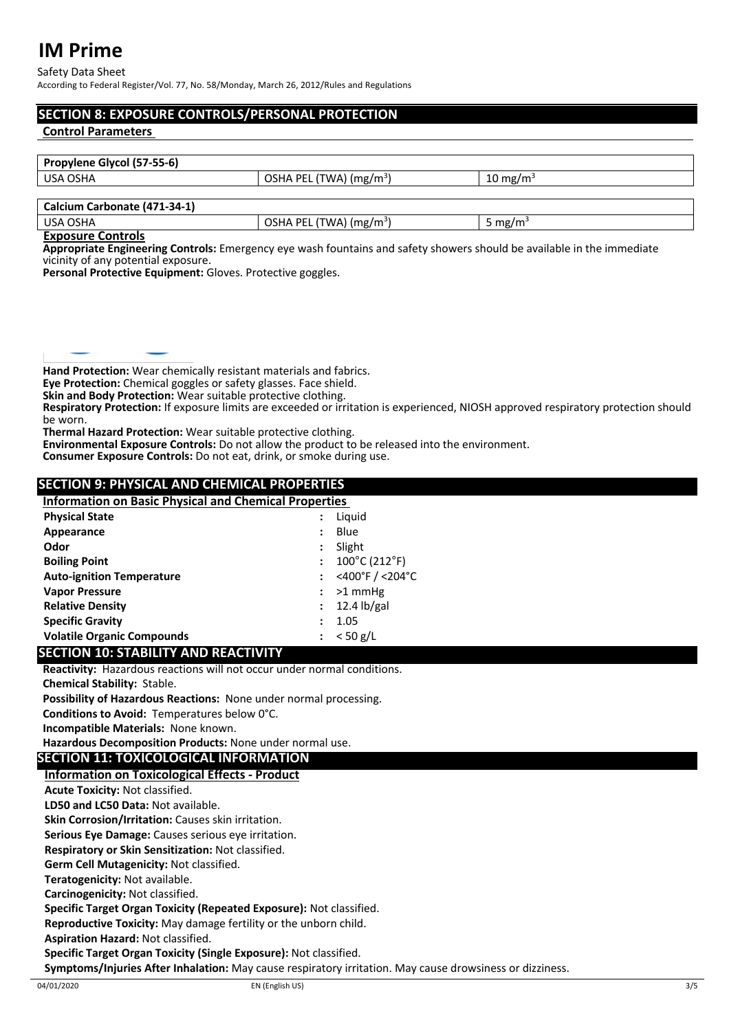Safety Data Sheet According to Federal Register/Vol. 77, No. 58/Monday, March 26, 2012/Rules and Regulations

# **SECTION 8: EXPOSURE CONTROLS/PERSONAL PROTECTION**

## **Control Parameters**

| Propylene Glycol (57-55-6)                      |                                     |                      |  |  |
|-------------------------------------------------|-------------------------------------|----------------------|--|--|
| OSHA PEL (TWA) (mg/m <sup>3</sup> )<br>USA OSHA |                                     | 10 mg/m <sup>3</sup> |  |  |
|                                                 |                                     |                      |  |  |
| Calcium Carbonate (471-34-1)                    |                                     |                      |  |  |
| USA OSHA                                        | OSHA PEL (TWA) (mg/m <sup>3</sup> ) | 5 mg/m <sup>3</sup>  |  |  |

#### **Exposure Controls**

**Appropriate Engineering Controls:** Emergency eye wash fountains and safety showers should be available in the immediate vicinity of any potential exposure.

**Personal Protective Equipment:** Gloves. Protective goggles.

**Hand Protection:** Wear chemically resistant materials and fabrics.

**Eye Protection:** Chemical goggles or safety glasses. Face shield.

**Skin and Body Protection:** Wear suitable protective clothing.

**Respiratory Protection:** If exposure limits are exceeded or irritation is experienced, NIOSH approved respiratory protection should be worn.

**Thermal Hazard Protection:** Wear suitable protective clothing. **Environmental Exposure Controls:** Do not allow the product to be released into the environment.

**Consumer Exposure Controls:** Do not eat, drink, or smoke during use.

# **SECTION 9: PHYSICAL AND CHEMICAL PROPERTIES**

| <b>Information on Basic Physical and Chemical Properties</b> |                      |                 |
|--------------------------------------------------------------|----------------------|-----------------|
| <b>Physical State</b>                                        |                      | Liguid          |
| Appearance                                                   |                      | Blue            |
| Odor                                                         | :                    | Slight          |
| <b>Boiling Point</b>                                         | $\ddot{\phantom{0}}$ | 100°C (212°F)   |
| <b>Auto-ignition Temperature</b>                             |                      | <400°F / <204°C |
| <b>Vapor Pressure</b>                                        |                      | $>1$ mmHg       |
| <b>Relative Density</b>                                      |                      | $: 12.4$ lb/gal |
| <b>Specific Gravity</b>                                      |                      | 1.05            |
| <b>Volatile Organic Compounds</b>                            | $\ddot{\phantom{a}}$ | $< 50$ g/L      |

# **SECTION 10: STABILITY AND REACTIVITY**

**Reactivity:** Hazardous reactions will not occur under normal conditions.

**Chemical Stability:** Stable.

**Possibility of Hazardous Reactions:** None under normal processing.

**Conditions to Avoid:** Temperatures below 0°C.

**Incompatible Materials:** None known.

**Hazardous Decomposition Products:** None under normal use.

# **SECTION 11: TOXICOLOGICAL INFORMATION**

# **Information on Toxicological Effects - Product**

**Acute Toxicity:** Not classified.

**LD50 and LC50 Data:** Not available.

**Skin Corrosion/Irritation:** Causes skin irritation.

**Serious Eye Damage:** Causes serious eye irritation.

**Respiratory or Skin Sensitization:** Not classified.

**Germ Cell Mutagenicity:** Not classified.

**Teratogenicity:** Not available.

**Carcinogenicity:** Not classified.

**Specific Target Organ Toxicity (Repeated Exposure):** Not classified.

**Reproductive Toxicity:** May damage fertility or the unborn child.

**Aspiration Hazard:** Not classified.

**Specific Target Organ Toxicity (Single Exposure):** Not classified.

**Symptoms/Injuries After Inhalation:** May cause respiratory irritation. May cause drowsiness or dizziness.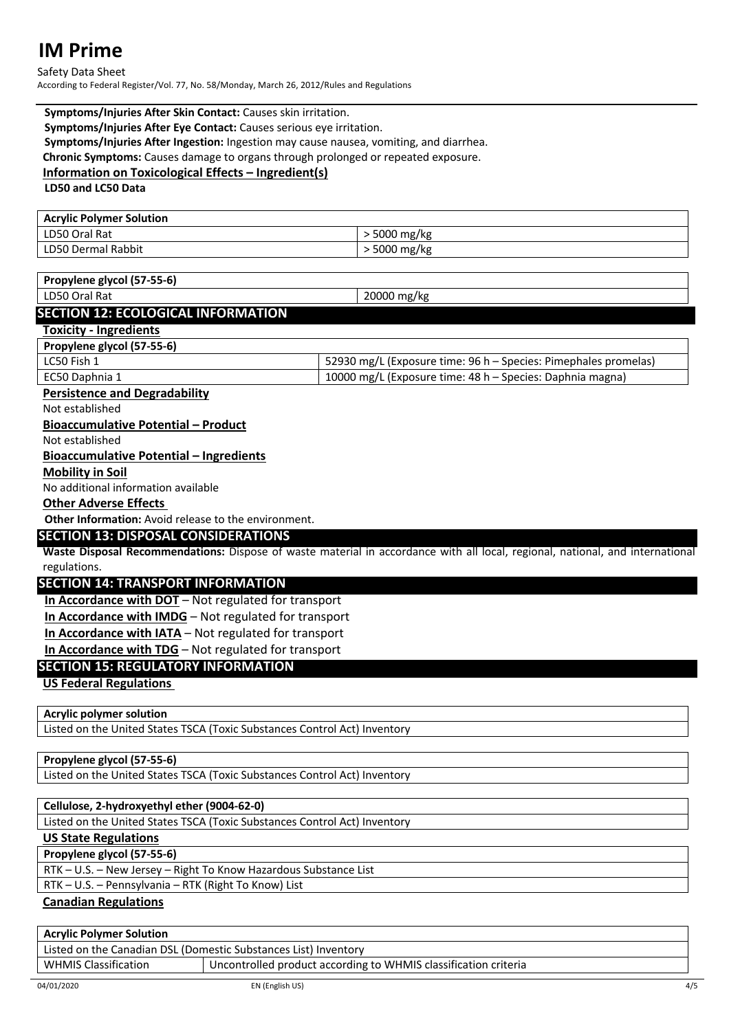Safety Data Sheet According to Federal Register/Vol. 77, No. 58/Monday, March 26, 2012/Rules and Regulations

## **Symptoms/Injuries After Skin Contact:** Causes skin irritation. **Symptoms/Injuries After Eye Contact:** Causes serious eye irritation. **Symptoms/Injuries After Ingestion:** Ingestion may cause nausea, vomiting, and diarrhea. **Chronic Symptoms:** Causes damage to organs through prolonged or repeated exposure. **Information on Toxicological Effects – Ingredient(s)**

**LD50 and LC50 Data**

| <b>Acrylic Polymer Solution</b> |              |
|---------------------------------|--------------|
| LD50 Oral Rat                   | ∙ 5000 mg/kg |
| LD50 Dermal Rabbit              | 5000 mg/kg   |

# **Propylene glycol (57-55-6)**

LD50 Oral Rat 20000 mg/kg

# **SECTION 12: ECOLOGICAL INFORMATION**

## **Toxicity - Ingredients**

**Propylene glycol (57-55-6)**

| LC50 Fish 1    | 52930 mg/L (Exposure time: 96 h – Species: Pimephales promelas) |
|----------------|-----------------------------------------------------------------|
| EC50 Daphnia 1 | 10000 mg/L (Exposure time: 48 h – Species: Daphnia magna)       |
|                |                                                                 |

# **Persistence and Degradability**

Not established

## **Bioaccumulative Potential – Product**

Not established

## **Bioaccumulative Potential – Ingredients**

## **Mobility in Soil**

No additional information available

## **Other Adverse Effects**

**Other Information:** Avoid release to the environment.

# **SECTION 13: DISPOSAL CONSIDERATIONS**

**Waste Disposal Recommendations:** Dispose of waste material in accordance with all local, regional, national, and international regulations.

# **SECTION 14: TRANSPORT INFORMATION**

**In Accordance with DOT** – Not regulated for transport

**In Accordance with IMDG** – Not regulated for transport

**In Accordance with IATA** – Not regulated for transport

**In Accordance with TDG** – Not regulated for transport

# **SECTION 15: REGULATORY INFORMATION**

**US Federal Regulations**

# **Acrylic polymer solution**

Listed on the United States TSCA (Toxic Substances Control Act) Inventory

# **Propylene glycol (57-55-6)**

Listed on the United States TSCA (Toxic Substances Control Act) Inventory

# **Cellulose, 2-hydroxyethyl ether (9004-62-0)**

Listed on the United States TSCA (Toxic Substances Control Act) Inventory

# **US State Regulations**

**Propylene glycol (57-55-6)**

RTK – U.S. – New Jersey – Right To Know Hazardous Substance List

RTK – U.S. – Pennsylvania – RTK (Right To Know) List

# **Canadian Regulations**

# **Acrylic Polymer Solution**

Listed on the Canadian DSL (Domestic Substances List) Inventory WHMIS Classification **Uncontrolled product according to WHMIS** classification criteria